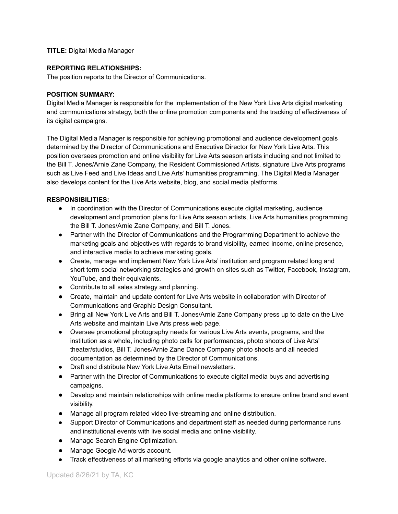## **TITLE:** Digital Media Manager

#### **REPORTING RELATIONSHIPS:**

The position reports to the Director of Communications.

#### **POSITION SUMMARY:**

Digital Media Manager is responsible for the implementation of the New York Live Arts digital marketing and communications strategy, both the online promotion components and the tracking of effectiveness of its digital campaigns.

The Digital Media Manager is responsible for achieving promotional and audience development goals determined by the Director of Communications and Executive Director for New York Live Arts. This position oversees promotion and online visibility for Live Arts season artists including and not limited to the Bill T. Jones/Arnie Zane Company, the Resident Commissioned Artists, signature Live Arts programs such as Live Feed and Live Ideas and Live Arts' humanities programming. The Digital Media Manager also develops content for the Live Arts website, blog, and social media platforms.

## **RESPONSIBILITIES:**

- In coordination with the Director of Communications execute digital marketing, audience development and promotion plans for Live Arts season artists, Live Arts humanities programming the Bill T. Jones/Arnie Zane Company, and Bill T. Jones.
- Partner with the Director of Communications and the Programming Department to achieve the marketing goals and objectives with regards to brand visibility, earned income, online presence, and interactive media to achieve marketing goals.
- Create, manage and implement New York Live Arts' institution and program related long and short term social networking strategies and growth on sites such as Twitter, Facebook, Instagram, YouTube, and their equivalents.
- Contribute to all sales strategy and planning.
- Create, maintain and update content for Live Arts website in collaboration with Director of Communications and Graphic Design Consultant.
- Bring all New York Live Arts and Bill T. Jones/Arnie Zane Company press up to date on the Live Arts website and maintain Live Arts press web page.
- Oversee promotional photography needs for various Live Arts events, programs, and the institution as a whole, including photo calls for performances, photo shoots of Live Arts' theater/studios, Bill T. Jones/Arnie Zane Dance Company photo shoots and all needed documentation as determined by the Director of Communications.
- Draft and distribute New York Live Arts Email newsletters.
- Partner with the Director of Communications to execute digital media buys and advertising campaigns.
- Develop and maintain relationships with online media platforms to ensure online brand and event visibility.
- Manage all program related video live-streaming and online distribution.
- Support Director of Communications and department staff as needed during performance runs and institutional events with live social media and online visibility.
- Manage Search Engine Optimization.
- Manage Google Ad-words account.
- Track effectiveness of all marketing efforts via google analytics and other online software.

Updated 8/26/21 by TA, KC